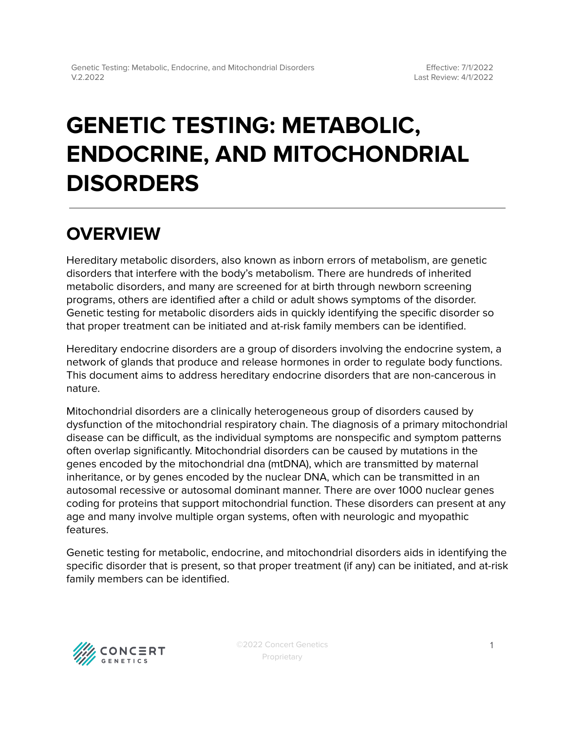# **GENETIC TESTING: METABOLIC, ENDOCRINE, AND MITOCHONDRIAL DISORDERS**

## **OVERVIEW**

Hereditary metabolic disorders, also known as inborn errors of metabolism, are genetic disorders that interfere with the body's metabolism. There are hundreds of inherited metabolic disorders, and many are screened for at birth through newborn screening programs, others are identified after a child or adult shows symptoms of the disorder. Genetic testing for metabolic disorders aids in quickly identifying the specific disorder so that proper treatment can be initiated and at-risk family members can be identified.

Hereditary endocrine disorders are a group of disorders involving the endocrine system, a network of glands that produce and release hormones in order to regulate body functions. This document aims to address hereditary endocrine disorders that are non-cancerous in nature.

Mitochondrial disorders are a clinically heterogeneous group of disorders caused by dysfunction of the mitochondrial respiratory chain. The diagnosis of a primary mitochondrial disease can be difficult, as the individual symptoms are nonspecific and symptom patterns often overlap significantly. Mitochondrial disorders can be caused by mutations in the genes encoded by the mitochondrial dna (mtDNA), which are transmitted by maternal inheritance, or by genes encoded by the nuclear DNA, which can be transmitted in an autosomal recessive or autosomal dominant manner. There are over 1000 nuclear genes coding for proteins that support mitochondrial function. These disorders can present at any age and many involve multiple organ systems, often with neurologic and myopathic features.

Genetic testing for metabolic, endocrine, and mitochondrial disorders aids in identifying the specific disorder that is present, so that proper treatment (if any) can be initiated, and at-risk family members can be identified.

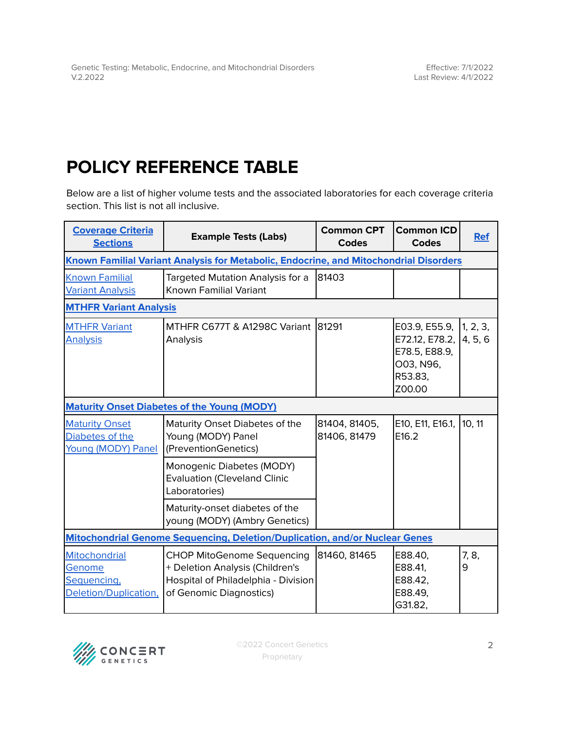## <span id="page-1-0"></span>**POLICY REFERENCE TABLE**

Below are a list of higher volume tests and the associated laboratories for each coverage criteria section. This list is not all inclusive.

| <b>Coverage Criteria</b><br><b>Sections</b>                                           | <b>Example Tests (Labs)</b>                                                                                                            | <b>Common CPT</b><br><b>Codes</b> | <b>Common ICD</b><br><b>Codes</b>                                                          | <b>Ref</b> |  |  |  |
|---------------------------------------------------------------------------------------|----------------------------------------------------------------------------------------------------------------------------------------|-----------------------------------|--------------------------------------------------------------------------------------------|------------|--|--|--|
| Known Familial Variant Analysis for Metabolic, Endocrine, and Mitochondrial Disorders |                                                                                                                                        |                                   |                                                                                            |            |  |  |  |
| <b>Known Familial</b><br><b>Variant Analysis</b>                                      | Targeted Mutation Analysis for a<br><b>Known Familial Variant</b>                                                                      | 81403                             |                                                                                            |            |  |  |  |
| <b>MTHFR Variant Analysis</b>                                                         |                                                                                                                                        |                                   |                                                                                            |            |  |  |  |
| <b>MTHFR Variant</b><br><b>Analysis</b>                                               | MTHFR C677T & A1298C Variant<br>Analysis                                                                                               | 81291                             | E03.9, E55.9,<br>E72.12, E78.2, 4, 5, 6<br>E78.5, E88.9,<br>O03, N96,<br>R53.83,<br>Z00.00 | 1, 2, 3,   |  |  |  |
| <b>Maturity Onset Diabetes of the Young (MODY)</b>                                    |                                                                                                                                        |                                   |                                                                                            |            |  |  |  |
| <b>Maturity Onset</b><br>Diabetes of the<br>Young (MODY) Panel                        | Maturity Onset Diabetes of the<br>Young (MODY) Panel<br>(PreventionGenetics)                                                           | 81404, 81405,<br>81406, 81479     | E10, E11, E16.1,<br>E16.2                                                                  | 10, 11     |  |  |  |
|                                                                                       | Monogenic Diabetes (MODY)<br><b>Evaluation (Cleveland Clinic</b><br>Laboratories)                                                      |                                   |                                                                                            |            |  |  |  |
|                                                                                       | Maturity-onset diabetes of the<br>young (MODY) (Ambry Genetics)                                                                        |                                   |                                                                                            |            |  |  |  |
| Mitochondrial Genome Sequencing, Deletion/Duplication, and/or Nuclear Genes           |                                                                                                                                        |                                   |                                                                                            |            |  |  |  |
| Mitochondrial<br>Genome<br>Sequencing,<br>Deletion/Duplication,                       | <b>CHOP MitoGenome Sequencing</b><br>+ Deletion Analysis (Children's<br>Hospital of Philadelphia - Division<br>of Genomic Diagnostics) | 81460, 81465                      | E88.40,<br>E88.41,<br>E88.42,<br>E88.49.<br>G31.82,                                        | 7, 8,<br>9 |  |  |  |

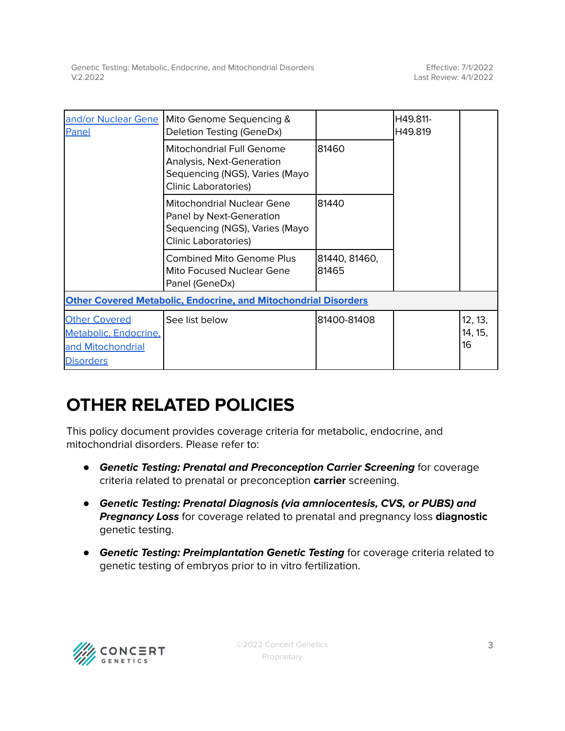Effective: 7/1/2022 Last Review: 4/1/2022

| Panel                                                                                  | and/or Nuclear Gene   Mito Genome Sequencing &<br>Deletion Testing (GeneDx)                                                    |                        | H49.811-<br>H49.819 |                          |  |  |  |
|----------------------------------------------------------------------------------------|--------------------------------------------------------------------------------------------------------------------------------|------------------------|---------------------|--------------------------|--|--|--|
|                                                                                        | Mitochondrial Full Genome<br>Analysis, Next-Generation<br>Sequencing (NGS), Varies (Mayo<br><b>Clinic Laboratories)</b>        | 81460                  |                     |                          |  |  |  |
|                                                                                        | <b>Mitochondrial Nuclear Gene</b><br>Panel by Next-Generation<br>Sequencing (NGS), Varies (Mayo<br><b>Clinic Laboratories)</b> | 81440                  |                     |                          |  |  |  |
|                                                                                        | <b>Combined Mito Genome Plus</b><br>Mito Focused Nuclear Gene<br>Panel (GeneDx)                                                | 81440, 81460,<br>81465 |                     |                          |  |  |  |
| <b>Other Covered Metabolic, Endocrine, and Mitochondrial Disorders</b>                 |                                                                                                                                |                        |                     |                          |  |  |  |
| <b>Other Covered</b><br>Metabolic, Endocrine,<br>and Mitochondrial<br><b>Disorders</b> | See list below                                                                                                                 | 81400-81408            |                     | 12, 13,<br>14, 15,<br>16 |  |  |  |

### **OTHER RELATED POLICIES**

This policy document provides coverage criteria for metabolic, endocrine, and mitochondrial disorders. Please refer to:

- **Genetic Testing: Prenatal and Preconception Carrier Screening** for coverage criteria related to prenatal or preconception **carrier** screening.
- **Genetic Testing: Prenatal Diagnosis (via amniocentesis, CVS, or PUBS) and Pregnancy Loss** for coverage related to prenatal and pregnancy loss **diagnostic** genetic testing.
- **Genetic Testing: Preimplantation Genetic Testing** for coverage criteria related to genetic testing of embryos prior to in vitro fertilization.

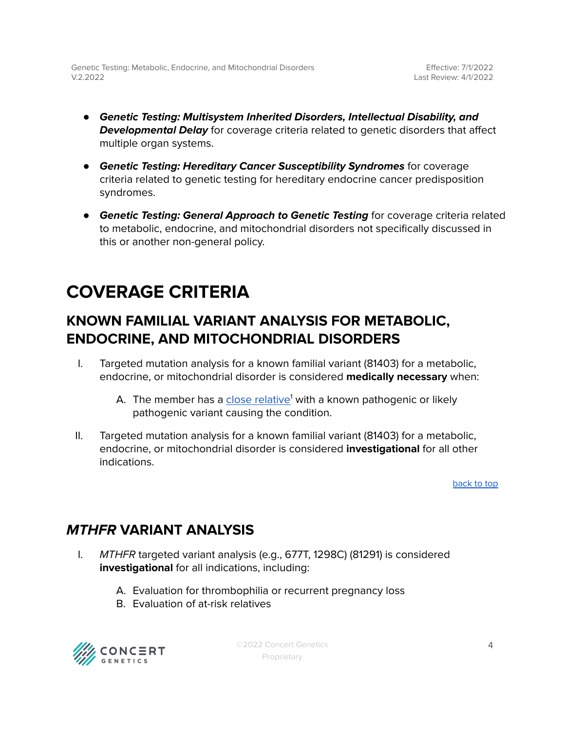- **Genetic Testing: Multisystem Inherited Disorders, Intellectual Disability, and Developmental Delay** for coverage criteria related to genetic disorders that affect multiple organ systems.
- **Genetic Testing: Hereditary Cancer Susceptibility Syndromes** for coverage criteria related to genetic testing for hereditary endocrine cancer predisposition syndromes.
- **Genetic Testing: General Approach to Genetic Testing** for coverage criteria related to metabolic, endocrine, and mitochondrial disorders not specifically discussed in this or another non-general policy.

## <span id="page-3-0"></span>**COVERAGE CRITERIA**

### <span id="page-3-1"></span>**KNOWN FAMILIAL VARIANT ANALYSIS FOR METABOLIC, ENDOCRINE, AND MITOCHONDRIAL DISORDERS**

- I. Targeted mutation analysis for a known familial variant (81403) for a metabolic, endocrine, or mitochondrial disorder is considered **medically necessary** when:
	- A. The member has a <u>close [relative](#page-8-0)</u>' with a known pathogenic or likely pathogenic variant causing the condition.
- II. Targeted mutation analysis for a known familial variant (81403) for a metabolic, endocrine, or mitochondrial disorder is considered **investigational** for all other indications.

[back](#page-1-0) to top

### <span id="page-3-2"></span>**MTHFR VARIANT ANALYSIS**

- I. MTHFR targeted variant analysis (e.g., 677T, 1298C) (81291) is considered **investigational** for all indications, including:
	- A. Evaluation for thrombophilia or recurrent pregnancy loss
	- B. Evaluation of at-risk relatives



©2022 Concert Genetics Proprietary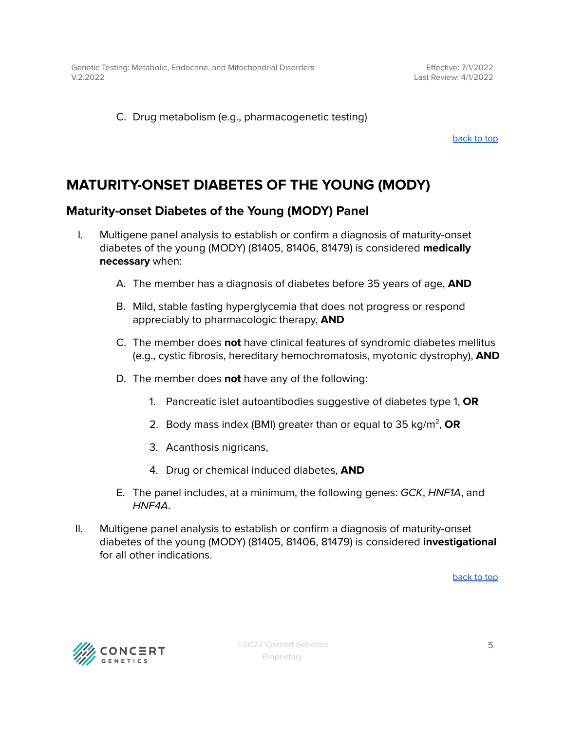Effective: 7/1/2022 Last Review: 4/1/2022

C. Drug metabolism (e.g., pharmacogenetic testing)

[back](#page-1-0) to top

### <span id="page-4-0"></span>**MATURITY-ONSET DIABETES OF THE YOUNG (MODY)**

### <span id="page-4-1"></span>**Maturity-onset Diabetes of the Young (MODY) Panel**

- I. Multigene panel analysis to establish or confirm a diagnosis of maturity-onset diabetes of the young (MODY) (81405, 81406, 81479) is considered **medically necessary** when:
	- A. The member has a diagnosis of diabetes before 35 years of age, **AND**
	- B. Mild, stable fasting hyperglycemia that does not progress or respond appreciably to pharmacologic therapy, **AND**
	- C. The member does **not** have clinical features of syndromic diabetes mellitus (e.g., cystic fibrosis, hereditary hemochromatosis, myotonic dystrophy), **AND**
	- D. The member does **not** have any of the following:
		- 1. Pancreatic islet autoantibodies suggestive of diabetes type 1, **OR**
		- 2. Body mass index (BMI) greater than or equal to 35 kg/m<sup>2</sup>, **OR**
		- 3. Acanthosis nigricans,
		- 4. Drug or chemical induced diabetes, **AND**
	- E. The panel includes, at a minimum, the following genes: GCK, HNF1A, and HNF4A.
- II. Multigene panel analysis to establish or confirm a diagnosis of maturity-onset diabetes of the young (MODY) (81405, 81406, 81479) is considered **investigational** for all other indications.

[back](#page-1-0) to top



©2022 Concert Genetics Proprietary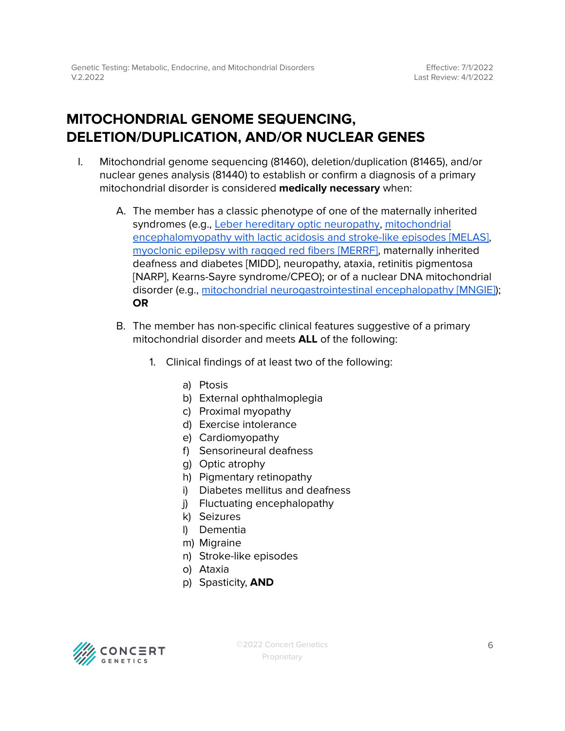### <span id="page-5-0"></span>**MITOCHONDRIAL GENOME SEQUENCING, DELETION/DUPLICATION, AND/OR NUCLEAR GENES**

- I. Mitochondrial genome sequencing (81460), deletion/duplication (81465), and/or nuclear genes analysis (81440) to establish or confirm a diagnosis of a primary mitochondrial disorder is considered **medically necessary** when:
	- A. The member has a classic phenotype of one of the maternally inherited syndromes (e.g., Leber hereditary optic [neuropathy,](https://www.ncbi.nlm.nih.gov/books/NBK1174/) [mitochondrial](https://www.ncbi.nlm.nih.gov/books/NBK1233/) [encephalomyopathy](https://www.ncbi.nlm.nih.gov/books/NBK1233/) with lactic acidosis and stroke-like episodes [MELAS], [myoclonic](https://www.ncbi.nlm.nih.gov/books/NBK1520/) epilepsy with ragged red fibers [MERRF], maternally inherited deafness and diabetes [MIDD], neuropathy, ataxia, retinitis pigmentosa [NARP], Kearns-Sayre syndrome/CPEO); or of a nuclear DNA mitochondrial disorder (e.g., mitochondrial [neurogastrointestinal](https://www.ncbi.nlm.nih.gov/books/NBK1179/) encephalopathy [MNGIE]); **OR**
	- B. The member has non-specific clinical features suggestive of a primary mitochondrial disorder and meets **ALL** of the following:
		- 1. Clinical findings of at least two of the following:
			- a) Ptosis
			- b) External ophthalmoplegia
			- c) Proximal myopathy
			- d) Exercise intolerance
			- e) Cardiomyopathy
			- f) Sensorineural deafness
			- g) Optic atrophy
			- h) Pigmentary retinopathy
			- i) Diabetes mellitus and deafness
			- j) Fluctuating encephalopathy
			- k) Seizures
			- l) Dementia
			- m) Migraine
			- n) Stroke-like episodes
			- o) Ataxia
			- p) Spasticity, **AND**

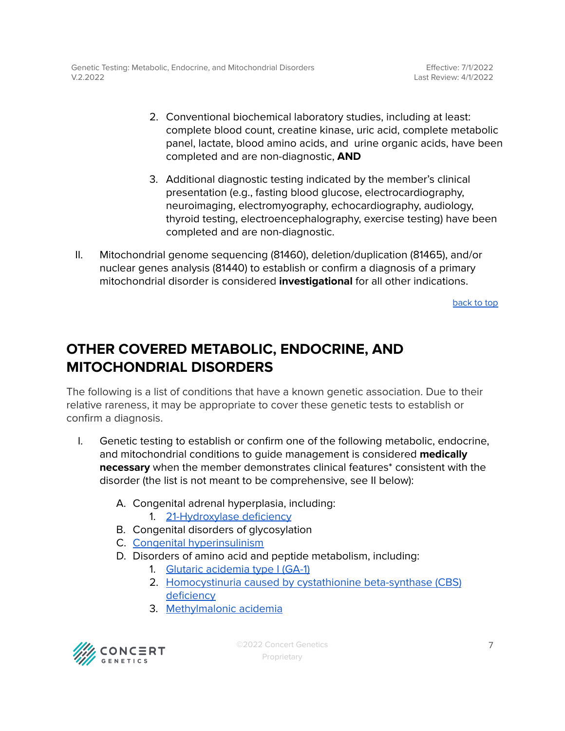Effective: 7/1/2022 Last Review: 4/1/2022

- 2. Conventional biochemical laboratory studies, including at least: complete blood count, creatine kinase, uric acid, complete metabolic panel, lactate, blood amino acids, and urine organic acids, have been completed and are non-diagnostic, **AND**
- 3. Additional diagnostic testing indicated by the member's clinical presentation (e.g., fasting blood glucose, electrocardiography, neuroimaging, electromyography, echocardiography, audiology, thyroid testing, electroencephalography, exercise testing) have been completed and are non-diagnostic.
- II. Mitochondrial genome sequencing (81460), deletion/duplication (81465), and/or nuclear genes analysis (81440) to establish or confirm a diagnosis of a primary mitochondrial disorder is considered **investigational** for all other indications.

[back](#page-1-0) to top

### <span id="page-6-0"></span>**OTHER COVERED METABOLIC, ENDOCRINE, AND MITOCHONDRIAL DISORDERS**

The following is a list of conditions that have a known genetic association. Due to their relative rareness, it may be appropriate to cover these genetic tests to establish or confirm a diagnosis.

- I. Genetic testing to establish or confirm one of the following metabolic, endocrine, and mitochondrial conditions to guide management is considered **medically necessary** when the member demonstrates clinical features\* consistent with the disorder (the list is not meant to be comprehensive, see II below):
	- A. Congenital adrenal hyperplasia, including: 1. [21-Hydroxylase](https://www.ncbi.nlm.nih.gov/books/NBK1171/) deficiency
	- B. Congenital disorders of glycosylation
	- C. Congenital [hyperinsulinism](https://www.ncbi.nlm.nih.gov/books/NBK1375/)
	- D. Disorders of amino acid and peptide metabolism, including:
		- 1. Glutaric [acidemia](https://www.ncbi.nlm.nih.gov/books/NBK546575/) type I (GA-1)
		- 2. [Homocystinuria](https://www.ncbi.nlm.nih.gov/books/NBK1524/) caused by cystathionine beta-synthase (CBS) [deficiency](https://www.ncbi.nlm.nih.gov/books/NBK1524/)
		- 3. [Methylmalonic](https://www.ncbi.nlm.nih.gov/books/NBK1231/) acidemia

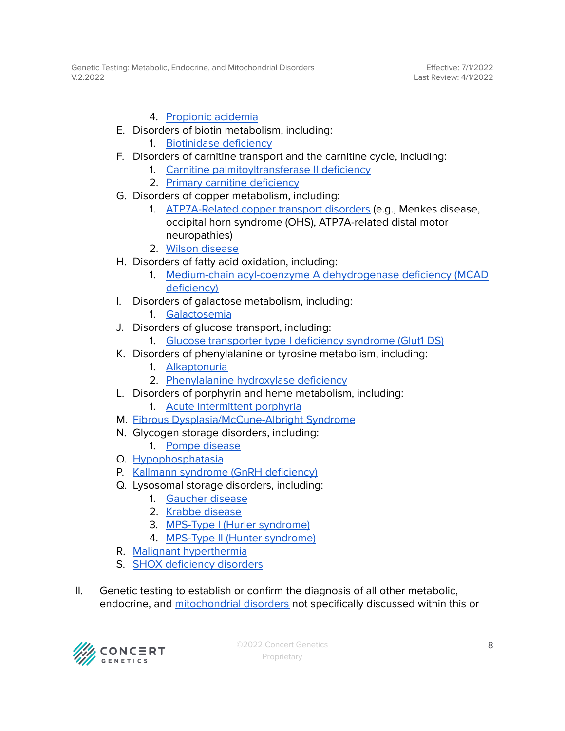Effective: 7/1/2022 Last Review: 4/1/2022

#### 4. [Propionic](https://www.ncbi.nlm.nih.gov/books/NBK92946/) acidemia

- E. Disorders of biotin metabolism, including:
	- 1. [Biotinidase](https://www.ncbi.nlm.nih.gov/books/NBK1322/) deficiency
- F. Disorders of carnitine transport and the carnitine cycle, including:
	- 1. Carnitine [palmitoyltransferase](https://www.ncbi.nlm.nih.gov/books/NBK1253/) II deficiency
	- 2. Primary carnitine [deficiency](https://www.ncbi.nlm.nih.gov/books/NBK84551/)
- G. Disorders of copper metabolism, including:
	- 1. [ATP7A-Related](https://www.ncbi.nlm.nih.gov/books/NBK1413/) copper transport disorders (e.g., Menkes disease, occipital horn syndrome (OHS), ATP7A-related distal motor neuropathies)
	- 2. Wilson [disease](https://www.ncbi.nlm.nih.gov/books/NBK1512/)
- H. Disorders of fatty acid oxidation, including:
	- 1. Medium-chain acyl-coenzyme A [dehydrogenase](https://www.ncbi.nlm.nih.gov/books/NBK1424/) deficiency (MCAD [deficiency\)](https://www.ncbi.nlm.nih.gov/books/NBK1424/)
- I. Disorders of galactose metabolism, including:
	- 1. [Galactosemia](https://www.ncbi.nlm.nih.gov/books/NBK1518/)
- J. Disorders of glucose transport, including:
	- 1. Glucose [transporter](https://www.ncbi.nlm.nih.gov/books/NBK1430/) type I deficiency syndrome (Glut1 DS)
- K. Disorders of phenylalanine or tyrosine metabolism, including:
	- 1. [Alkaptonuria](https://www.ncbi.nlm.nih.gov/books/NBK1454/)
	- 2. [Phenylalanine](https://www.ncbi.nlm.nih.gov/books/NBK1504/) hydroxylase deficiency
- L. Disorders of porphyrin and heme metabolism, including:
	- 1. Acute [intermittent](https://www.ncbi.nlm.nih.gov/books/NBK1193/) porphyria
- M. Fibrous [Dysplasia/McCune-Albright](https://www.ncbi.nlm.nih.gov/books/NBK274564/) Syndrome
- N. Glycogen storage disorders, including:
	- 1. Pompe [disease](https://www.ncbi.nlm.nih.gov/books/NBK1261/)
- O. [Hypophosphatasia](http://ncbi.nlm.nih.gov/books/NBK1150/)
- P. Kallmann syndrome (GnRH [deficiency\)](https://www.ncbi.nlm.nih.gov/books/NBK1334/)
- Q. Lysosomal storage disorders, including:
	- 1. [Gaucher](https://www.ncbi.nlm.nih.gov/books/NBK1269/) disease
	- 2. Krabbe [disease](https://www.ncbi.nlm.nih.gov/books/NBK1238/)
	- 3. MPS-Type I (Hurler [syndrome\)](https://www.ncbi.nlm.nih.gov/books/NBK1162/)
	- 4. MPS-Type II (Hunter [syndrome\)](https://www.ncbi.nlm.nih.gov/books/NBK1274/)
- R. Malignant [hyperthermia](https://www.ncbi.nlm.nih.gov/books/NBK1146/#mhs.Molecular_Genetics)
- S. SHOX [deficiency](https://www.ncbi.nlm.nih.gov/books/NBK1215/) disorders
- II. Genetic testing to establish or confirm the diagnosis of all other metabolic, endocrine, and [mitochondrial](#page-8-0) disorders not specifically discussed within this or

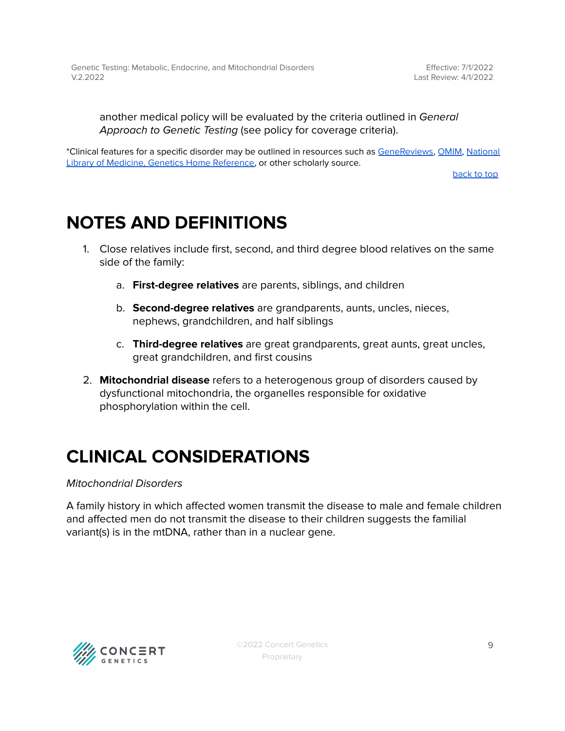another medical policy will be evaluated by the criteria outlined in General Approach to Genetic Testing (see policy for coverage criteria).

\*Clinical features for a specific disorder may be outlined in resources such as [GeneReviews,](https://www.ncbi.nlm.nih.gov/books/NBK1116/) [OMIM,](https://www.omim.org/) [National](https://medlineplus.gov/genetics/) Library of Medicine, Genetics Home [Reference,](https://medlineplus.gov/genetics/) or other scholarly source.

[back](#page-1-0) to top

### <span id="page-8-0"></span>**NOTES AND DEFINITIONS**

- 1. Close relatives include first, second, and third degree blood relatives on the same side of the family:
	- a. **First-degree relatives** are parents, siblings, and children
	- b. **Second-degree relatives** are grandparents, aunts, uncles, nieces, nephews, grandchildren, and half siblings
	- c. **Third-degree relatives** are great grandparents, great aunts, great uncles, great grandchildren, and first cousins
- 2. **Mitochondrial disease** refers to a heterogenous group of disorders caused by dysfunctional mitochondria, the organelles responsible for oxidative phosphorylation within the cell.

## **CLINICAL CONSIDERATIONS**

#### Mitochondrial Disorders

A family history in which affected women transmit the disease to male and female children and affected men do not transmit the disease to their children suggests the familial variant(s) is in the mtDNA, rather than in a nuclear gene.

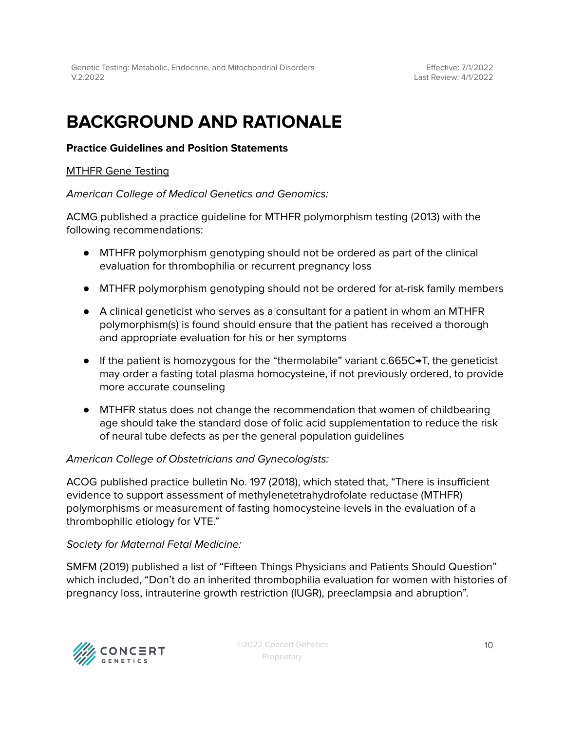Effective: 7/1/2022 Last Review: 4/1/2022

### **BACKGROUND AND RATIONALE**

#### **Practice Guidelines and Position Statements**

#### MTHFR Gene Testing

American College of Medical Genetics and Genomics:

ACMG published a practice guideline for MTHFR polymorphism testing (2013) with the following recommendations:

- MTHFR polymorphism genotyping should not be ordered as part of the clinical evaluation for thrombophilia or recurrent pregnancy loss
- MTHFR polymorphism genotyping should not be ordered for at-risk family members
- A clinical geneticist who serves as a consultant for a patient in whom an MTHFR polymorphism(s) is found should ensure that the patient has received a thorough and appropriate evaluation for his or her symptoms
- If the patient is homozygous for the "thermolabile" variant c.665C→T, the geneticist may order a fasting total plasma homocysteine, if not previously ordered, to provide more accurate counseling
- MTHFR status does not change the recommendation that women of childbearing age should take the standard dose of folic acid supplementation to reduce the risk of neural tube defects as per the general population guidelines

#### American College of Obstetricians and Gynecologists:

ACOG published practice bulletin No. 197 (2018), which stated that, "There is insufficient evidence to support assessment of methylenetetrahydrofolate reductase (MTHFR) polymorphisms or measurement of fasting homocysteine levels in the evaluation of a thrombophilic etiology for VTE."

#### Society for Maternal Fetal Medicine:

SMFM (2019) published a list of "Fifteen Things Physicians and Patients Should Question" which included, "Don't do an inherited thrombophilia evaluation for women with histories of pregnancy loss, intrauterine growth restriction (IUGR), preeclampsia and abruption".

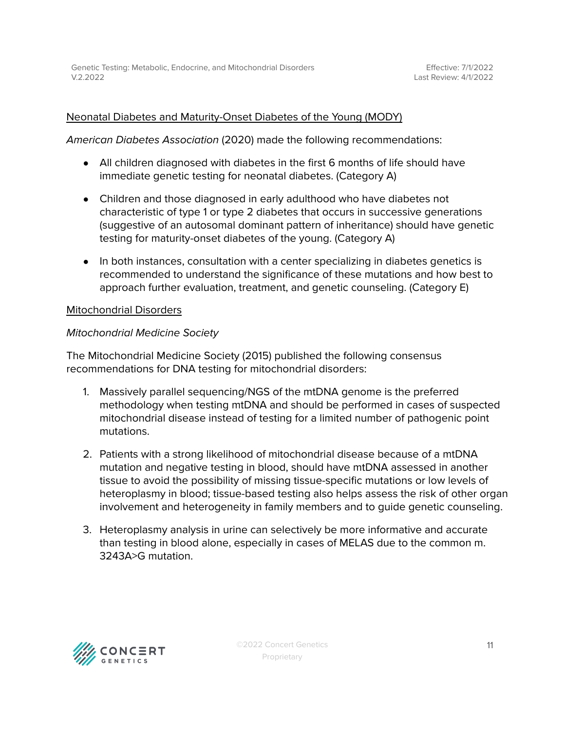### Neonatal Diabetes and Maturity-Onset Diabetes of the Young (MODY)

American Diabetes Association (2020) made the following recommendations:

- All children diagnosed with diabetes in the first 6 months of life should have immediate genetic testing for neonatal diabetes. (Category A)
- Children and those diagnosed in early adulthood who have diabetes not characteristic of type 1 or type 2 diabetes that occurs in successive generations (suggestive of an autosomal dominant pattern of inheritance) should have genetic testing for maturity-onset diabetes of the young. (Category A)
- In both instances, consultation with a center specializing in diabetes genetics is recommended to understand the significance of these mutations and how best to approach further evaluation, treatment, and genetic counseling. (Category E)

#### Mitochondrial Disorders

#### Mitochondrial Medicine Society

The Mitochondrial Medicine Society (2015) published the following consensus recommendations for DNA testing for mitochondrial disorders:

- 1. Massively parallel sequencing/NGS of the mtDNA genome is the preferred methodology when testing mtDNA and should be performed in cases of suspected mitochondrial disease instead of testing for a limited number of pathogenic point mutations.
- 2. Patients with a strong likelihood of mitochondrial disease because of a mtDNA mutation and negative testing in blood, should have mtDNA assessed in another tissue to avoid the possibility of missing tissue-specific mutations or low levels of heteroplasmy in blood; tissue-based testing also helps assess the risk of other organ involvement and heterogeneity in family members and to guide genetic counseling.
- 3. Heteroplasmy analysis in urine can selectively be more informative and accurate than testing in blood alone, especially in cases of MELAS due to the common m. 3243A>G mutation.

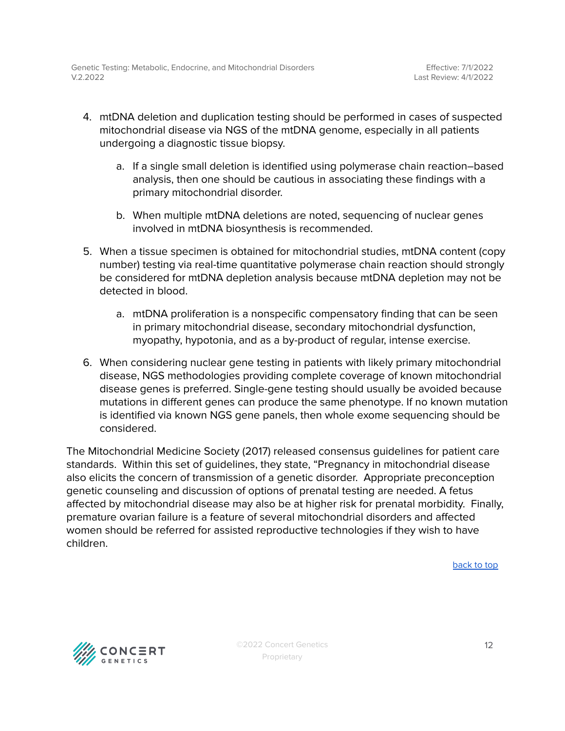- 4. mtDNA deletion and duplication testing should be performed in cases of suspected mitochondrial disease via NGS of the mtDNA genome, especially in all patients undergoing a diagnostic tissue biopsy.
	- a. If a single small deletion is identified using polymerase chain reaction–based analysis, then one should be cautious in associating these findings with a primary mitochondrial disorder.
	- b. When multiple mtDNA deletions are noted, sequencing of nuclear genes involved in mtDNA biosynthesis is recommended.
- 5. When a tissue specimen is obtained for mitochondrial studies, mtDNA content (copy number) testing via real-time quantitative polymerase chain reaction should strongly be considered for mtDNA depletion analysis because mtDNA depletion may not be detected in blood.
	- a. mtDNA proliferation is a nonspecific compensatory finding that can be seen in primary mitochondrial disease, secondary mitochondrial dysfunction, myopathy, hypotonia, and as a by-product of regular, intense exercise.
- 6. When considering nuclear gene testing in patients with likely primary mitochondrial disease, NGS methodologies providing complete coverage of known mitochondrial disease genes is preferred. Single-gene testing should usually be avoided because mutations in different genes can produce the same phenotype. If no known mutation is identified via known NGS gene panels, then whole exome sequencing should be considered.

The Mitochondrial Medicine Society (2017) released consensus guidelines for patient care standards. Within this set of guidelines, they state, "Pregnancy in mitochondrial disease also elicits the concern of transmission of a genetic disorder. Appropriate preconception genetic counseling and discussion of options of prenatal testing are needed. A fetus affected by mitochondrial disease may also be at higher risk for prenatal morbidity. Finally, premature ovarian failure is a feature of several mitochondrial disorders and affected women should be referred for assisted reproductive technologies if they wish to have children.

[back](#page-1-0) to top

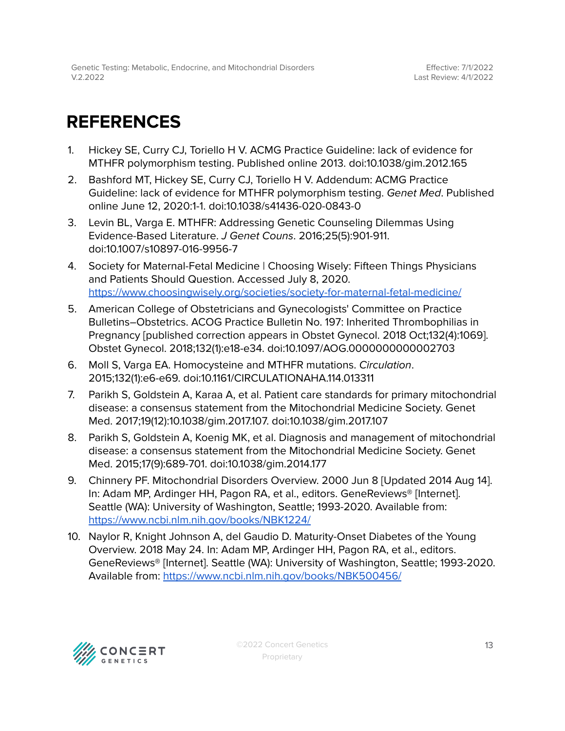## <span id="page-12-0"></span>**REFERENCES**

- 1. Hickey SE, Curry CJ, Toriello H V. ACMG Practice Guideline: lack of evidence for MTHFR polymorphism testing. Published online 2013. doi:10.1038/gim.2012.165
- 2. Bashford MT, Hickey SE, Curry CJ, Toriello H V. Addendum: ACMG Practice Guideline: lack of evidence for MTHFR polymorphism testing. Genet Med. Published online June 12, 2020:1-1. doi:10.1038/s41436-020-0843-0
- 3. Levin BL, Varga E. MTHFR: Addressing Genetic Counseling Dilemmas Using Evidence-Based Literature. J Genet Couns. 2016;25(5):901-911. doi:10.1007/s10897-016-9956-7
- 4. Society for Maternal-Fetal Medicine | Choosing Wisely: Fifteen Things Physicians and Patients Should Question. Accessed July 8, 2020. <https://www.choosingwisely.org/societies/society-for-maternal-fetal-medicine/>
- 5. American College of Obstetricians and Gynecologists' Committee on Practice Bulletins–Obstetrics. ACOG Practice Bulletin No. 197: Inherited Thrombophilias in Pregnancy [published correction appears in Obstet Gynecol. 2018 Oct;132(4):1069]. Obstet Gynecol. 2018;132(1):e18-e34. doi:10.1097/AOG.0000000000002703
- 6. Moll S, Varga EA. Homocysteine and MTHFR mutations. Circulation. 2015;132(1):e6-e69. doi:10.1161/CIRCULATIONAHA.114.013311
- 7. Parikh S, Goldstein A, Karaa A, et al. Patient care standards for primary mitochondrial disease: a consensus statement from the Mitochondrial Medicine Society. Genet Med. 2017;19(12):10.1038/gim.2017.107. doi:10.1038/gim.2017.107
- 8. Parikh S, Goldstein A, Koenig MK, et al. Diagnosis and management of mitochondrial disease: a consensus statement from the Mitochondrial Medicine Society. Genet Med. 2015;17(9):689-701. doi:10.1038/gim.2014.177
- 9. Chinnery PF. Mitochondrial Disorders Overview. 2000 Jun 8 [Updated 2014 Aug 14]. In: Adam MP, Ardinger HH, Pagon RA, et al., editors. GeneReviews® [Internet]. Seattle (WA): University of Washington, Seattle; 1993-2020. Available from: <https://www.ncbi.nlm.nih.gov/books/NBK1224/>
- 10. Naylor R, Knight Johnson A, del Gaudio D. Maturity-Onset Diabetes of the Young Overview. 2018 May 24. In: Adam MP, Ardinger HH, Pagon RA, et al., editors. GeneReviews® [Internet]. Seattle (WA): University of Washington, Seattle; 1993-2020. Available from: <https://www.ncbi.nlm.nih.gov/books/NBK500456/>